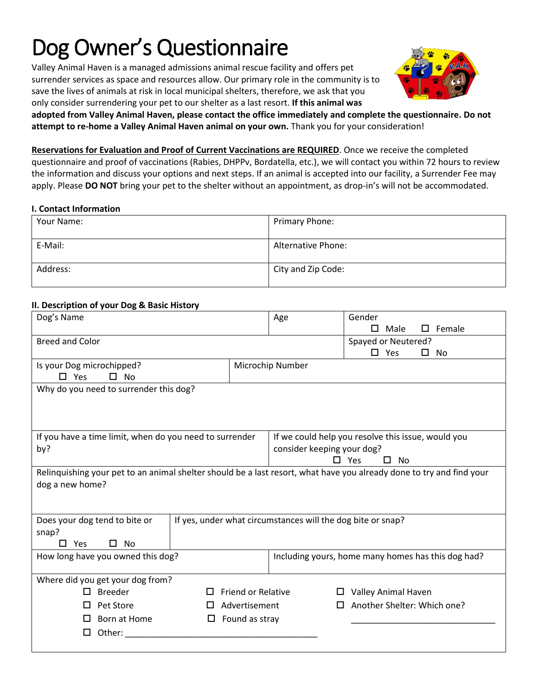# Dog Owner's Questionnaire

Valley Animal Haven is a managed admissions animal rescue facility and offers pet surrender services as space and resources allow. Our primary role in the community is to save the lives of animals at risk in local municipal shelters, therefore, we ask that you only consider surrendering your pet to our shelter as a last resort. **If this animal was** 



**adopted from Valley Animal Haven, please contact the office immediately and complete the questionnaire. Do not attempt to re-home a Valley Animal Haven animal on your own.** Thank you for your consideration!

**Reservations for Evaluation and Proof of Current Vaccinations are REQUIRED**. Once we receive the completed questionnaire and proof of vaccinations (Rabies, DHPPv, Bordatella, etc.), we will contact you within 72 hours to review the information and discuss your options and next steps. If an animal is accepted into our facility, a Surrender Fee may apply. Please **DO NOT** bring your pet to the shelter without an appointment, as drop-in's will not be accommodated.

# **I. Contact Information**

| Your Name: | Primary Phone:            |
|------------|---------------------------|
| E-Mail:    | <b>Alternative Phone:</b> |
| Address:   | City and Zip Code:        |

# **II. Description of your Dog & Basic History**

| Dog's Name                                                                                                           |                                                             | Age                                                                              | Gender<br>Male                                     | Female<br>П. |  |  |
|----------------------------------------------------------------------------------------------------------------------|-------------------------------------------------------------|----------------------------------------------------------------------------------|----------------------------------------------------|--------------|--|--|
| <b>Breed and Color</b>                                                                                               |                                                             |                                                                                  | Spayed or Neutered?                                |              |  |  |
|                                                                                                                      |                                                             |                                                                                  | $\square$ Yes                                      | No<br>ப      |  |  |
| Is your Dog microchipped?                                                                                            |                                                             | Microchip Number                                                                 |                                                    |              |  |  |
| $\Box$ Yes<br>$\square$ No                                                                                           |                                                             |                                                                                  |                                                    |              |  |  |
| Why do you need to surrender this dog?                                                                               |                                                             |                                                                                  |                                                    |              |  |  |
|                                                                                                                      |                                                             |                                                                                  |                                                    |              |  |  |
|                                                                                                                      |                                                             |                                                                                  |                                                    |              |  |  |
|                                                                                                                      |                                                             |                                                                                  |                                                    |              |  |  |
| If you have a time limit, when do you need to surrender<br>by?                                                       |                                                             | If we could help you resolve this issue, would you<br>consider keeping your dog? |                                                    |              |  |  |
|                                                                                                                      |                                                             | $\square$ Yes<br>П.<br>No                                                        |                                                    |              |  |  |
| Relinquishing your pet to an animal shelter should be a last resort, what have you already done to try and find your |                                                             |                                                                                  |                                                    |              |  |  |
| dog a new home?                                                                                                      |                                                             |                                                                                  |                                                    |              |  |  |
|                                                                                                                      |                                                             |                                                                                  |                                                    |              |  |  |
|                                                                                                                      |                                                             |                                                                                  |                                                    |              |  |  |
| Does your dog tend to bite or                                                                                        | If yes, under what circumstances will the dog bite or snap? |                                                                                  |                                                    |              |  |  |
| snap?                                                                                                                |                                                             |                                                                                  |                                                    |              |  |  |
| Yes<br>No<br>П.                                                                                                      |                                                             |                                                                                  |                                                    |              |  |  |
| How long have you owned this dog?                                                                                    |                                                             |                                                                                  | Including yours, home many homes has this dog had? |              |  |  |
| Where did you get your dog from?                                                                                     |                                                             |                                                                                  |                                                    |              |  |  |
| <b>Breeder</b>                                                                                                       | <b>Friend or Relative</b>                                   |                                                                                  | Valley Animal Haven                                |              |  |  |
| Pet Store                                                                                                            | Advertisement                                               |                                                                                  | Another Shelter: Which one?                        |              |  |  |
| Born at Home<br>□                                                                                                    | Found as stray                                              |                                                                                  |                                                    |              |  |  |
| □                                                                                                                    |                                                             |                                                                                  |                                                    |              |  |  |
| Other:                                                                                                               |                                                             |                                                                                  |                                                    |              |  |  |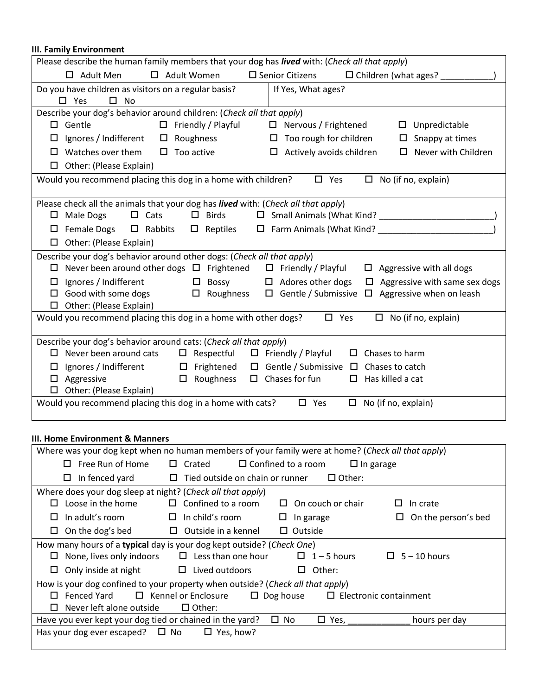# **III. Family Environment**

| Please describe the human family members that your dog has lived with: (Check all that apply)                      |  |  |  |
|--------------------------------------------------------------------------------------------------------------------|--|--|--|
| □ Adult Women<br>$\square$ Senior Citizens<br>$\Box$ Children (what ages?<br>$\Box$ Adult Men                      |  |  |  |
| Do you have children as visitors on a regular basis?<br>If Yes, What ages?                                         |  |  |  |
| $\square$ Yes<br>$\square$ No                                                                                      |  |  |  |
| Describe your dog's behavior around children: (Check all that apply)                                               |  |  |  |
| $\Box$ Friendly / Playful<br>$\Box$ Gentle<br>$\Box$ Nervous / Frightened<br>$\square$ Unpredictable               |  |  |  |
| Ignores / Indifferent<br>$\square$ Roughness<br>$\Box$ Too rough for children<br>$\Box$ Snappy at times<br>$\Box$  |  |  |  |
| $\Box$ Watches over them<br>$\square$ Too active<br>$\Box$ Never with Children<br>$\Box$ Actively avoids children  |  |  |  |
| Other: (Please Explain)<br>□                                                                                       |  |  |  |
| Would you recommend placing this dog in a home with children?<br>$\Box$ Yes<br>$\Box$ No (if no, explain)          |  |  |  |
|                                                                                                                    |  |  |  |
| Please check all the animals that your dog has lived with: (Check all that apply)                                  |  |  |  |
| $\Box$ Cats<br>$\square$ Birds<br>$\Box$ Male Dogs                                                                 |  |  |  |
| Female Dogs □ Rabbits □ Reptiles<br>□                                                                              |  |  |  |
| $\Box$ Other: (Please Explain)                                                                                     |  |  |  |
| Describe your dog's behavior around other dogs: (Check all that apply)                                             |  |  |  |
| $\Box$ Never been around other dogs $\Box$ Frightened $\Box$ Friendly / Playful<br>$\Box$ Aggressive with all dogs |  |  |  |
| Ignores / Indifferent $\Box$ Bossy $\Box$ Adores other dogs<br>$\Box$ Aggressive with same sex dogs<br>□.          |  |  |  |
| Good with some dogs<br>$\Box$ Roughness $\Box$ Gentle / Submissive $\Box$ Aggressive when on leash<br>0            |  |  |  |
| $\Box$ Other: (Please Explain)                                                                                     |  |  |  |
| Would you recommend placing this dog in a home with other dogs?<br>$\square$ Yes<br>$\Box$ No (if no, explain)     |  |  |  |
| Describe your dog's behavior around cats: (Check all that apply)                                                   |  |  |  |
| $\Box$ Never been around cats<br>$\Box$ Respectful<br>$\Box$ Friendly / Playful<br>$\Box$ Chases to harm           |  |  |  |
| Ignores / Indifferent □ Frightened □ Gentle / Submissive □ Chases to catch<br>□                                    |  |  |  |
| $\square$ Roughness<br>$\Box$ Chases for fun<br>Aggressive<br>Has killed a cat<br>$\Box$<br>□                      |  |  |  |
| Other: (Please Explain)                                                                                            |  |  |  |
| Would you recommend placing this dog in a home with cats?<br>$\square$ Yes<br>$\Box$ No (if no, explain)           |  |  |  |
|                                                                                                                    |  |  |  |

#### **III. Home Environment & Manners**

| Where was your dog kept when no human members of your family were at home? (Check all that apply)        |                                                    |                                               |                          |  |
|----------------------------------------------------------------------------------------------------------|----------------------------------------------------|-----------------------------------------------|--------------------------|--|
| Free Run of Home<br>П                                                                                    | $\Box$ Crated                                      | $\Box$ Confined to a room<br>$\Box$ In garage |                          |  |
| In fenced yard<br>□                                                                                      | Tied outside on chain or runner<br>$\Box$          | $\Box$ Other:                                 |                          |  |
| Where does your dog sleep at night? (Check all that apply)                                               |                                                    |                                               |                          |  |
| Loose in the home<br>П                                                                                   | $\Box$ Confined to a room                          | $\Box$ On couch or chair                      | In crate<br>$\Box$       |  |
| In adult's room<br>$\mathsf{L}$                                                                          | In child's room<br>$\Box$                          | Ш<br>In garage                                | On the person's bed<br>ப |  |
| On the dog's bed<br>ப                                                                                    | Outside in a kennel<br>□                           | $\Box$ Outside                                |                          |  |
| How many hours of a typical day is your dog kept outside? (Check One)                                    |                                                    |                                               |                          |  |
| ப                                                                                                        | None, lives only indoors $\Box$ Less than one hour | $\Box$ 1 – 5 hours                            | $\Box$ 5 – 10 hours      |  |
| Only inside at night $\Box$ Lived outdoors<br>ш.                                                         |                                                    | Other:<br>ப                                   |                          |  |
| How is your dog confined to your property when outside? (Check all that apply)                           |                                                    |                                               |                          |  |
| $\Box$ Kennel or Enclosure<br>Fenced Yard<br>$\Box$ Dog house<br>$\Box$ Electronic containment<br>$\Box$ |                                                    |                                               |                          |  |
| Never left alone outside<br>П                                                                            | $\Box$ Other:                                      |                                               |                          |  |
| Have you ever kept your dog tied or chained in the yard?                                                 |                                                    | $\Box$ Yes, _____<br>$\Box$ No                | hours per day            |  |
| Has your dog ever escaped? $\Box$ No                                                                     | $\Box$ Yes, how?                                   |                                               |                          |  |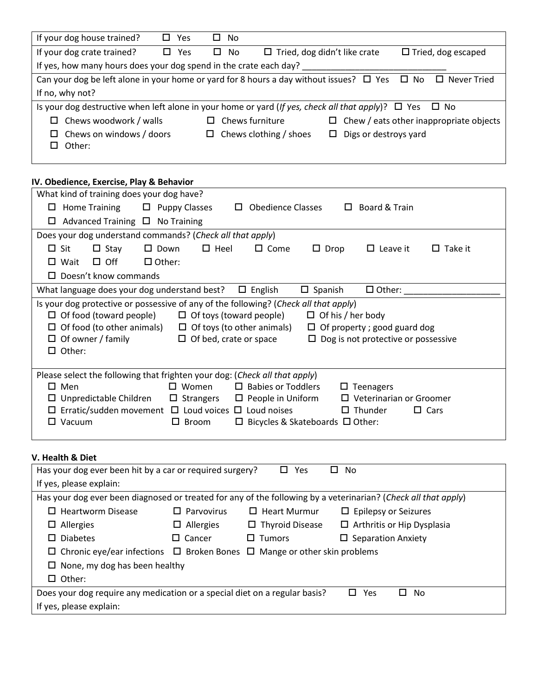| If your dog house trained?                                                                                                   | Yes<br>LΙ     | <b>No</b><br>ப  |                                     |                                                |  |
|------------------------------------------------------------------------------------------------------------------------------|---------------|-----------------|-------------------------------------|------------------------------------------------|--|
| If your dog crate trained?                                                                                                   | $\square$ Yes | $\square$ No    | $\Box$ Tried, dog didn't like crate | $\Box$ Tried, dog escaped                      |  |
| If yes, how many hours does your dog spend in the crate each day?                                                            |               |                 |                                     |                                                |  |
| Can your dog be left alone in your home or yard for 8 hours a day without issues? $\Box$ Yes $\Box$ No<br>$\Box$ Never Tried |               |                 |                                     |                                                |  |
| If no, why not?                                                                                                              |               |                 |                                     |                                                |  |
| Is your dog destructive when left alone in your home or yard (If yes, check all that apply)? $\Box$ Yes $\Box$ No            |               |                 |                                     |                                                |  |
| Chews woodwork / walls<br>□                                                                                                  |               | Chews furniture |                                     | $\Box$ Chew / eats other inappropriate objects |  |
| $\Box$ Chews on windows / doors<br>Other:                                                                                    |               | П               | Chews clothing / shoes              | $\Box$ Digs or destroys yard                   |  |

# **IV. Obedience, Exercise, Play & Behavior**

| What kind of training does your dog have?                                                                                                                                                                                                                                                                                                                                                                                      |  |  |  |  |
|--------------------------------------------------------------------------------------------------------------------------------------------------------------------------------------------------------------------------------------------------------------------------------------------------------------------------------------------------------------------------------------------------------------------------------|--|--|--|--|
| Board & Train<br>$\Box$ Home Training<br>$\Box$ Puppy Classes<br><b>Obedience Classes</b><br>$\Box$<br>$\Box$                                                                                                                                                                                                                                                                                                                  |  |  |  |  |
| $\Box$ Advanced Training $\Box$ No Training                                                                                                                                                                                                                                                                                                                                                                                    |  |  |  |  |
| Does your dog understand commands? (Check all that apply)                                                                                                                                                                                                                                                                                                                                                                      |  |  |  |  |
| $\Box$ Heel<br>$\Box$ Sit<br>$\square$ Down<br>$\Box$ Come<br>$\Box$ Leave it<br>$\Box$ Take it<br>$\Box$ Stay<br>$\Box$ Drop                                                                                                                                                                                                                                                                                                  |  |  |  |  |
| $\Box$ Off<br>$\Box$ Other:<br>$\square$ Wait                                                                                                                                                                                                                                                                                                                                                                                  |  |  |  |  |
| $\Box$ Doesn't know commands                                                                                                                                                                                                                                                                                                                                                                                                   |  |  |  |  |
| $\square$ Spanish<br>What language does your dog understand best?<br>$\Box$ English<br>$\Box$ Other:                                                                                                                                                                                                                                                                                                                           |  |  |  |  |
| Is your dog protective or possessive of any of the following? (Check all that apply)<br>$\Box$ Of food (toward people)<br>$\Box$ Of his / her body<br>$\Box$ Of toys (toward people)<br>$\Box$ Of food (to other animals) $\Box$ Of toys (to other animals)<br>$\Box$ Of property ; good guard dog<br>$\Box$ Of bed, crate or space<br>$\Box$ Of owner / family<br>$\Box$ Dog is not protective or possessive<br>$\Box$ Other: |  |  |  |  |
| Please select the following that frighten your dog: (Check all that apply)                                                                                                                                                                                                                                                                                                                                                     |  |  |  |  |
| $\square$ Men<br>$\Box$ Babies or Toddlers<br>$\square$ Women<br>$\Box$ Teenagers<br>$\Box$ Unpredictable Children<br>$\Box$ People in Uniform<br>$\Box$ Veterinarian or Groomer<br>$\Box$ Strangers<br>$\Box$ Erratic/sudden movement $\Box$ Loud voices $\Box$ Loud noises<br>$\Box$ Thunder<br>$\Box$ Cars<br>$\Box$ Vacuum<br>$\Box$ Broom<br>$\Box$ Bicycles & Skateboards $\Box$ Other:                                  |  |  |  |  |

# **V. Health & Diet**

| Has your dog ever been hit by a car or required surgery?                                                       |                   | Yes<br>ப<br>ப          | No                                |  |
|----------------------------------------------------------------------------------------------------------------|-------------------|------------------------|-----------------------------------|--|
| If yes, please explain:                                                                                        |                   |                        |                                   |  |
| Has your dog ever been diagnosed or treated for any of the following by a veterinarian? (Check all that apply) |                   |                        |                                   |  |
| <b>Heartworm Disease</b><br>ப                                                                                  | $\Box$ Parvovirus | $\Box$ Heart Murmur    | $\Box$ Epilepsy or Seizures       |  |
| Allergies<br>ш.                                                                                                | $\Box$ Allergies  | $\Box$ Thyroid Disease | $\Box$ Arthritis or Hip Dysplasia |  |
| <b>Diabetes</b><br>ப                                                                                           | $\Box$ Cancer     | $\Box$ Tumors          | $\Box$ Separation Anxiety         |  |
| $\Box$ Chronic eye/ear infections $\Box$ Broken Bones $\Box$ Mange or other skin problems                      |                   |                        |                                   |  |
| $\Box$ None, my dog has been healthy                                                                           |                   |                        |                                   |  |
| $\Box$ Other:                                                                                                  |                   |                        |                                   |  |
| Does your dog require any medication or a special diet on a regular basis?<br>п<br>Yes<br>No<br>П              |                   |                        |                                   |  |
| If yes, please explain:                                                                                        |                   |                        |                                   |  |